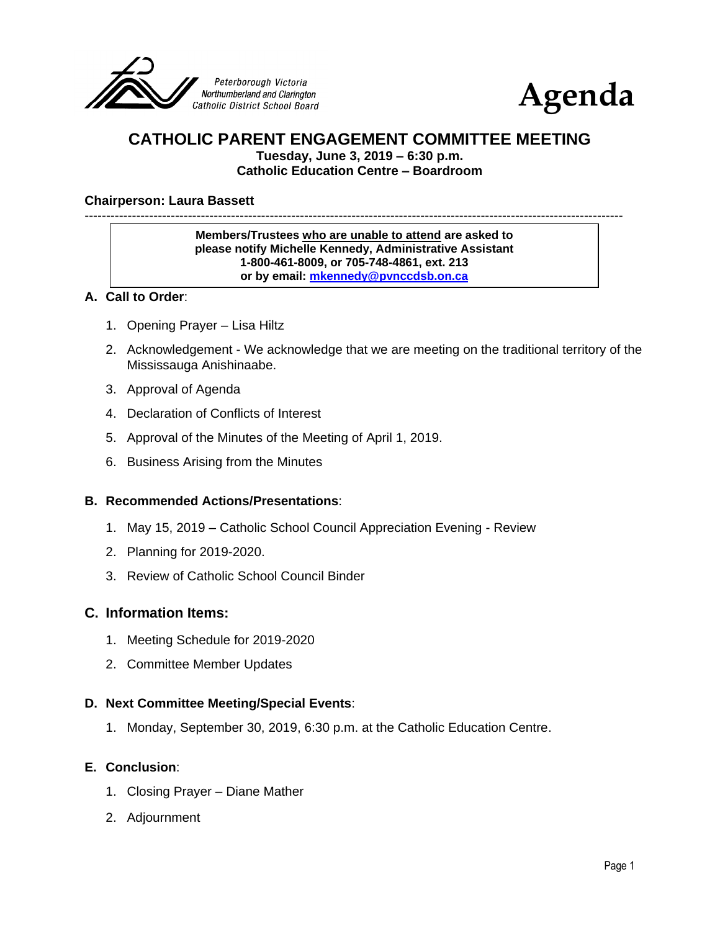



# **CATHOLIC PARENT ENGAGEMENT COMMITTEE MEETING**

**Tuesday, June 3, 2019 – 6:30 p.m. Catholic Education Centre – Boardroom**

#### **Chairperson: Laura Bassett**

-----------------------------------------------------------------------------------------------------------------------------

**Members/Trustees who are unable to attend are asked to please notify Michelle Kennedy, Administrative Assistant 1-800-461-8009, or 705-748-4861, ext. 213 or by email: [mkennedy@pvnccdsb.on.ca](mailto:mkennedy@pvnccdsb.on.ca)**

#### **A. Call to Order**:

- 1. Opening Prayer Lisa Hiltz
- 2. Acknowledgement We acknowledge that we are meeting on the traditional territory of the Mississauga Anishinaabe.
- 3. Approval of Agenda
- 4. Declaration of Conflicts of Interest
- 5. Approval of the Minutes of the Meeting of April 1, 2019.
- 6. Business Arising from the Minutes

#### **B. Recommended Actions/Presentations**:

- 1. May 15, 2019 Catholic School Council Appreciation Evening Review
- 2. Planning for 2019-2020.
- 3. Review of Catholic School Council Binder

#### **C. Information Items:**

- 1. Meeting Schedule for 2019-2020
- 2. Committee Member Updates

#### **D. Next Committee Meeting/Special Events**:

1. Monday, September 30, 2019, 6:30 p.m. at the Catholic Education Centre.

#### **E. Conclusion**:

- 1. Closing Prayer Diane Mather
- 2. Adjournment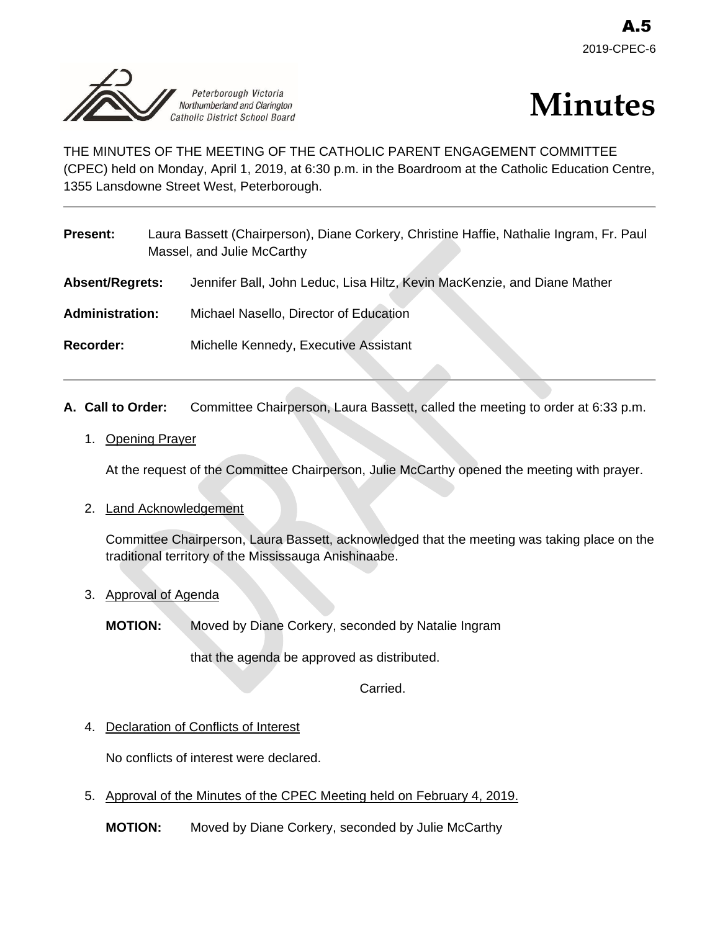



THE MINUTES OF THE MEETING OF THE CATHOLIC PARENT ENGAGEMENT COMMITTEE (CPEC) held on Monday, April 1, 2019, at 6:30 p.m. in the Boardroom at the Catholic Education Centre, 1355 Lansdowne Street West, Peterborough.

| <b>Present:</b>        | Laura Bassett (Chairperson), Diane Corkery, Christine Haffie, Nathalie Ingram, Fr. Paul<br>Massel, and Julie McCarthy |
|------------------------|-----------------------------------------------------------------------------------------------------------------------|
| <b>Absent/Regrets:</b> | Jennifer Ball, John Leduc, Lisa Hiltz, Kevin MacKenzie, and Diane Mather                                              |
| <b>Administration:</b> | Michael Nasello, Director of Education                                                                                |
| <b>Recorder:</b>       | Michelle Kennedy, Executive Assistant                                                                                 |

- **A. Call to Order:** Committee Chairperson, Laura Bassett, called the meeting to order at 6:33 p.m.
	- 1. Opening Prayer

At the request of the Committee Chairperson, Julie McCarthy opened the meeting with prayer.

2. Land Acknowledgement

Committee Chairperson, Laura Bassett, acknowledged that the meeting was taking place on the traditional territory of the Mississauga Anishinaabe.

3. Approval of Agenda

**MOTION:** Moved by Diane Corkery, seconded by Natalie Ingram

that the agenda be approved as distributed.

Carried.

4. Declaration of Conflicts of Interest

No conflicts of interest were declared.

5. Approval of the Minutes of the CPEC Meeting held on February 4, 2019.

**MOTION:** Moved by Diane Corkery, seconded by Julie McCarthy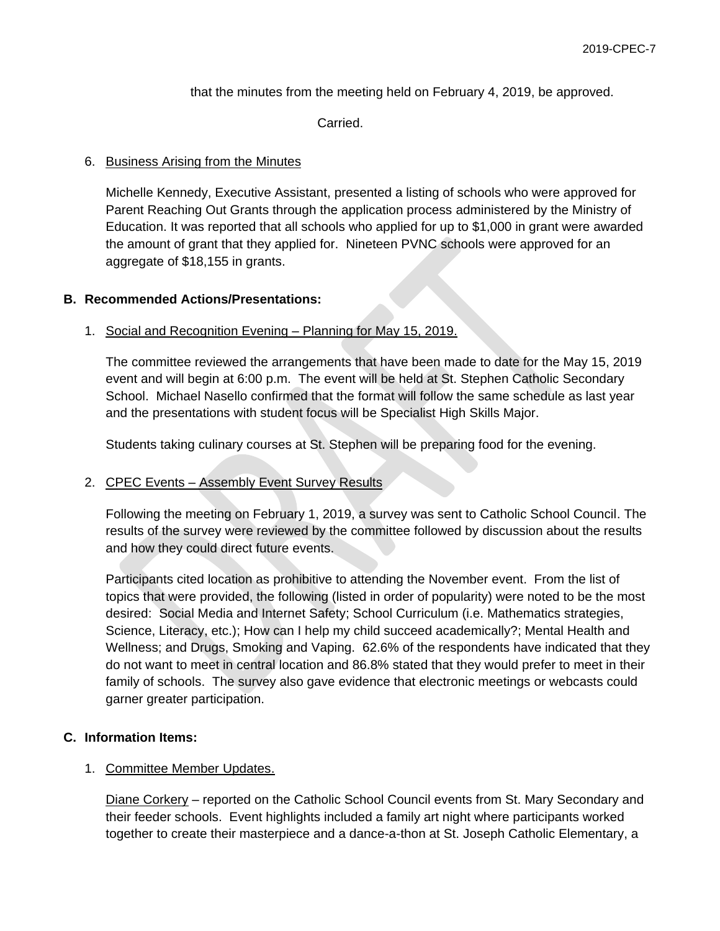that the minutes from the meeting held on February 4, 2019, be approved.

Carried.

### 6. Business Arising from the Minutes

Michelle Kennedy, Executive Assistant, presented a listing of schools who were approved for Parent Reaching Out Grants through the application process administered by the Ministry of Education. It was reported that all schools who applied for up to \$1,000 in grant were awarded the amount of grant that they applied for. Nineteen PVNC schools were approved for an aggregate of \$18,155 in grants.

### **B. Recommended Actions/Presentations:**

### 1. Social and Recognition Evening – Planning for May 15, 2019.

The committee reviewed the arrangements that have been made to date for the May 15, 2019 event and will begin at 6:00 p.m. The event will be held at St. Stephen Catholic Secondary School. Michael Nasello confirmed that the format will follow the same schedule as last year and the presentations with student focus will be Specialist High Skills Major.

Students taking culinary courses at St. Stephen will be preparing food for the evening.

## 2. CPEC Events – Assembly Event Survey Results

Following the meeting on February 1, 2019, a survey was sent to Catholic School Council. The results of the survey were reviewed by the committee followed by discussion about the results and how they could direct future events.

Participants cited location as prohibitive to attending the November event. From the list of topics that were provided, the following (listed in order of popularity) were noted to be the most desired: Social Media and Internet Safety; School Curriculum (i.e. Mathematics strategies, Science, Literacy, etc.); How can I help my child succeed academically?; Mental Health and Wellness; and Drugs, Smoking and Vaping. 62.6% of the respondents have indicated that they do not want to meet in central location and 86.8% stated that they would prefer to meet in their family of schools. The survey also gave evidence that electronic meetings or webcasts could garner greater participation.

## **C. Information Items:**

## 1. Committee Member Updates.

Diane Corkery – reported on the Catholic School Council events from St. Mary Secondary and their feeder schools. Event highlights included a family art night where participants worked together to create their masterpiece and a dance-a-thon at St. Joseph Catholic Elementary, a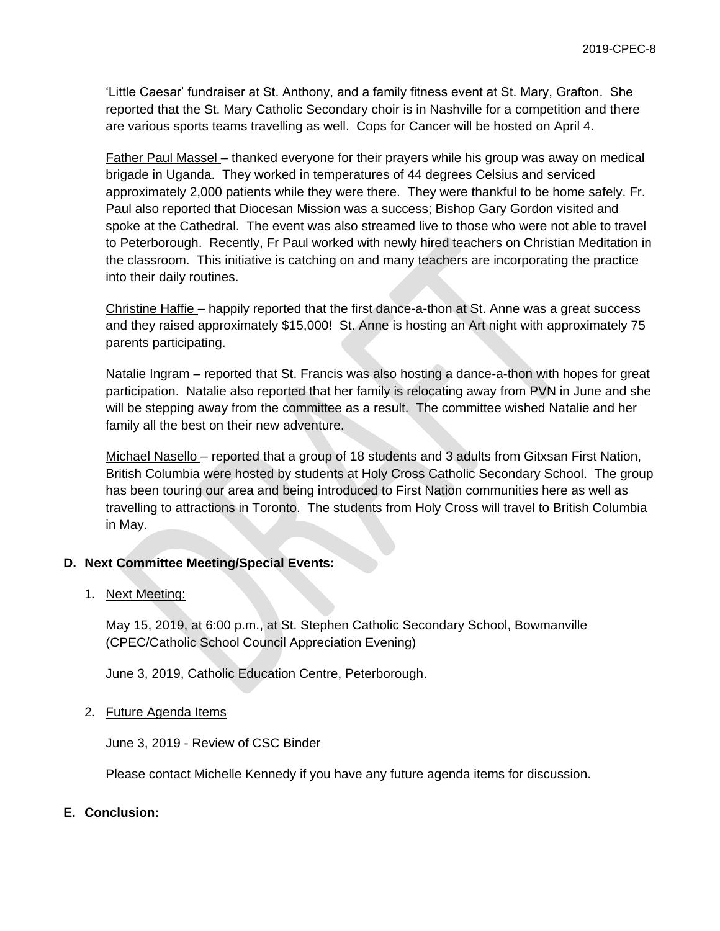'Little Caesar' fundraiser at St. Anthony, and a family fitness event at St. Mary, Grafton. She reported that the St. Mary Catholic Secondary choir is in Nashville for a competition and there are various sports teams travelling as well. Cops for Cancer will be hosted on April 4.

Father Paul Massel – thanked everyone for their prayers while his group was away on medical brigade in Uganda. They worked in temperatures of 44 degrees Celsius and serviced approximately 2,000 patients while they were there. They were thankful to be home safely. Fr. Paul also reported that Diocesan Mission was a success; Bishop Gary Gordon visited and spoke at the Cathedral. The event was also streamed live to those who were not able to travel to Peterborough. Recently, Fr Paul worked with newly hired teachers on Christian Meditation in the classroom. This initiative is catching on and many teachers are incorporating the practice into their daily routines.

Christine Haffie – happily reported that the first dance-a-thon at St. Anne was a great success and they raised approximately \$15,000! St. Anne is hosting an Art night with approximately 75 parents participating.

Natalie Ingram – reported that St. Francis was also hosting a dance-a-thon with hopes for great participation. Natalie also reported that her family is relocating away from PVN in June and she will be stepping away from the committee as a result. The committee wished Natalie and her family all the best on their new adventure.

Michael Nasello – reported that a group of 18 students and 3 adults from Gitxsan First Nation, British Columbia were hosted by students at Holy Cross Catholic Secondary School. The group has been touring our area and being introduced to First Nation communities here as well as travelling to attractions in Toronto. The students from Holy Cross will travel to British Columbia in May.

## **D. Next Committee Meeting/Special Events:**

## 1. Next Meeting:

May 15, 2019, at 6:00 p.m., at St. Stephen Catholic Secondary School, Bowmanville (CPEC/Catholic School Council Appreciation Evening)

June 3, 2019, Catholic Education Centre, Peterborough.

## 2. Future Agenda Items

June 3, 2019 - Review of CSC Binder

Please contact Michelle Kennedy if you have any future agenda items for discussion.

## **E. Conclusion:**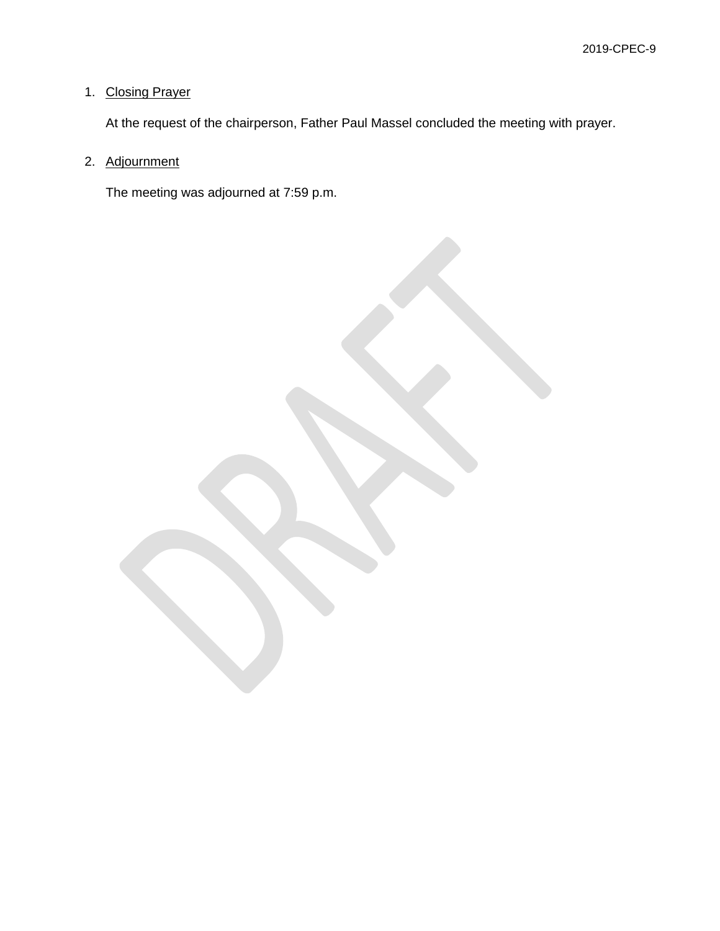## 1. Closing Prayer

At the request of the chairperson, Father Paul Massel concluded the meeting with prayer.

## 2. Adjournment

The meeting was adjourned at 7:59 p.m.